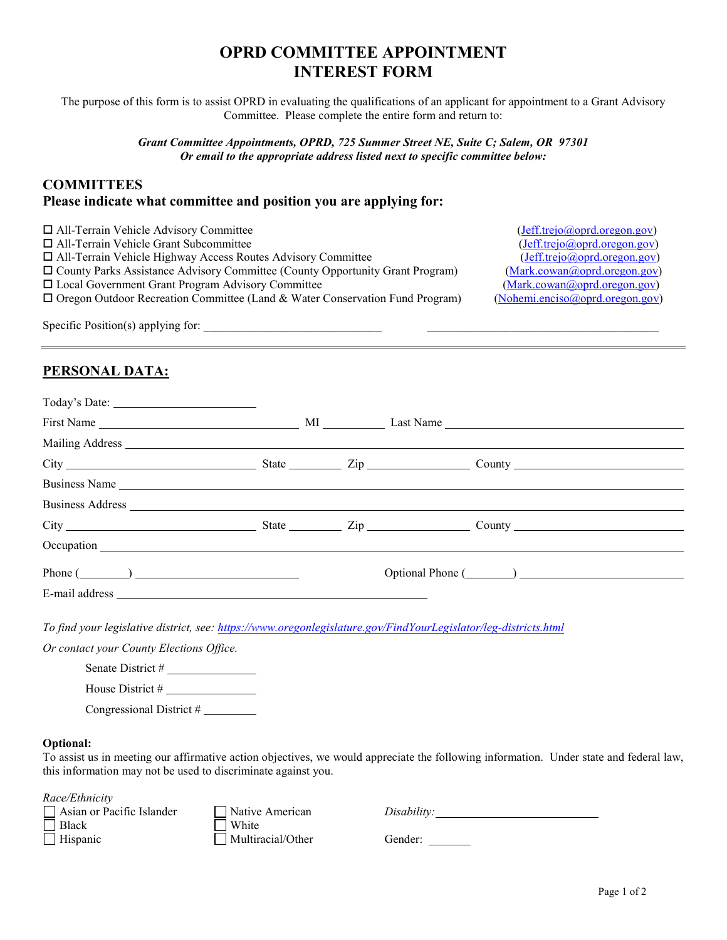# **OPRD COMMITTEE APPOINTMENT INTEREST FORM**

The purpose of this form is to assist OPRD in evaluating the qualifications of an applicant for appointment to a Grant Advisory Committee. Please complete the entire form and return to:

> *Grant Committee Appointments, OPRD, 725 Summer Street NE, Suite C; Salem, OR 97301 Or email to the appropriate address listed next to specific committee below:*

### **COMMITTEES Please indicate what committee and position you are applying for:**

| $\Box$ All-Terrain Vehicle Advisory Committee                                        | (Jeff. trejo@optd.oregon.gov)   |
|--------------------------------------------------------------------------------------|---------------------------------|
| $\Box$ All-Terrain Vehicle Grant Subcommittee                                        | (Jeff.trejo@opt.oregon.gov)     |
| □ All-Terrain Vehicle Highway Access Routes Advisory Committee                       | (Jeff. trejo@opt.oregon.gov)    |
| $\Box$ County Parks Assistance Advisory Committee (County Opportunity Grant Program) | (Mark.cowan@oprd.oregon.gov)    |
| $\Box$ Local Government Grant Program Advisory Committee                             | (Mark.cowan@opt.oregon.gov)     |
| $\Box$ Oregon Outdoor Recreation Committee (Land & Water Conservation Fund Program)  | (Noheni. enciso@opt.oregon.gov) |
| $\alpha$ $\alpha$ $\alpha$ $\beta$ $\beta$                                           |                                 |

Specific Position(s) applying for: \_\_\_\_\_\_\_\_\_\_\_\_\_\_\_\_\_\_\_\_\_\_\_\_\_\_\_\_\_\_ \_\_\_\_\_\_\_\_\_\_\_\_\_\_\_\_\_\_\_\_\_\_\_\_\_\_\_\_\_\_\_\_\_\_\_\_\_\_\_

## **PERSONAL DATA:**

|                                          |  | Business Name                                                                                                                                                                                                                  |  |
|------------------------------------------|--|--------------------------------------------------------------------------------------------------------------------------------------------------------------------------------------------------------------------------------|--|
|                                          |  |                                                                                                                                                                                                                                |  |
|                                          |  | City Current City County County County County County County County County County County County County County County County County County County County County County County County County County County County County County C |  |
|                                          |  |                                                                                                                                                                                                                                |  |
| Phone $(\_\_)$                           |  |                                                                                                                                                                                                                                |  |
|                                          |  |                                                                                                                                                                                                                                |  |
|                                          |  | To find your legislative district, see: https://www.oregonlegislature.gov/FindYourLegislator/leg-districts.html                                                                                                                |  |
| Or contact your County Elections Office. |  |                                                                                                                                                                                                                                |  |
| Senate District #                        |  |                                                                                                                                                                                                                                |  |
|                                          |  |                                                                                                                                                                                                                                |  |

Congressional District #

#### **Optional:**

To assist us in meeting our affirmative action objectives, we would appreciate the following information. Under state and federal law, this information may not be used to discriminate against you.

*Race/Ethnicity*

Black White Hispanic Multiracial/Other Gender:

Asian or Pacific Islander Native American *Disability:*